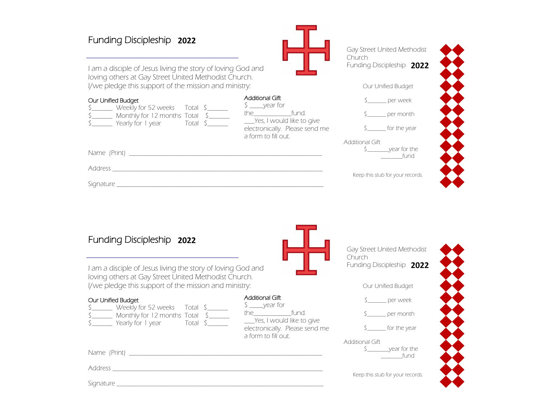## Funding Discipleship 2020 **2022**

| I am a disciple of Jesus living the story of loving God and<br>loving others at Gay Street United Methodist Church.                                                               |                                                               | Funding Discipleship 2022                      |
|-----------------------------------------------------------------------------------------------------------------------------------------------------------------------------------|---------------------------------------------------------------|------------------------------------------------|
| I/we pledge this support of the mission and ministry:                                                                                                                             |                                                               | Our Unified Budget                             |
| Our Unified Budget<br>\$ _______ Weekly for 52 weeks Total \$<br>$\frac{1}{2}$ Monthly for 12 months Total $\frac{1}{2}$<br>S Yearly for 1 year Total S Yes, I would like to give | <b>Additional Gift</b><br>$\frac{1}{2}$ year for<br>the fund. | $\zeta$ per week<br>per month                  |
|                                                                                                                                                                                   | electronically. Please send me<br>a form to fill out.         | $S_{\text{2}}$ for the year<br>Additional Gift |
|                                                                                                                                                                                   |                                                               | _fund                                          |
|                                                                                                                                                                                   |                                                               | Keep this stub for your records.               |
|                                                                                                                                                                                   |                                                               |                                                |
|                                                                                                                                                                                   |                                                               |                                                |
| Funding Discipleship 2022                                                                                                                                                         |                                                               |                                                |

Gay Street United Methodist

Funding Discipleship 2020

Church

| Funding Discipleship 2022                                                                                                                                                 |                                                                                                                                                         | Gay Street United Methodist<br>Church                                                     |
|---------------------------------------------------------------------------------------------------------------------------------------------------------------------------|---------------------------------------------------------------------------------------------------------------------------------------------------------|-------------------------------------------------------------------------------------------|
| I am a disciple of Jesus living the story of loving God and<br>loving others at Gay Street United Methodist Church.                                                       |                                                                                                                                                         | Funding Discipleship 2022                                                                 |
| I/we pledge this support of the mission and ministry:                                                                                                                     |                                                                                                                                                         | Our Unified Budget                                                                        |
| Our Unified Budget<br>\$ _______ Weekly for 52 weeks Total \$<br>\$________ Monthly for 12 months Total \$______<br>$S_{\text{1}}$ Yearly for 1 year Total $S_{\text{2}}$ | <b>Additional Gift</b><br>$\frac{1}{2}$ year for<br>the fund.<br>____Yes, I would like to give<br>electronically. Please send me<br>a form to fill out. | \$ per week<br>$\zeta$ per month<br>$S_{\text{2}}$ for the year<br><b>Additional Gift</b> |
| Name (Print) _______________                                                                                                                                              |                                                                                                                                                         | $\zeta$ year for the<br>r fund                                                            |
| <b>Address</b>                                                                                                                                                            |                                                                                                                                                         | Keep this stub for your records.                                                          |
| Signature <i>Signature</i>                                                                                                                                                |                                                                                                                                                         |                                                                                           |